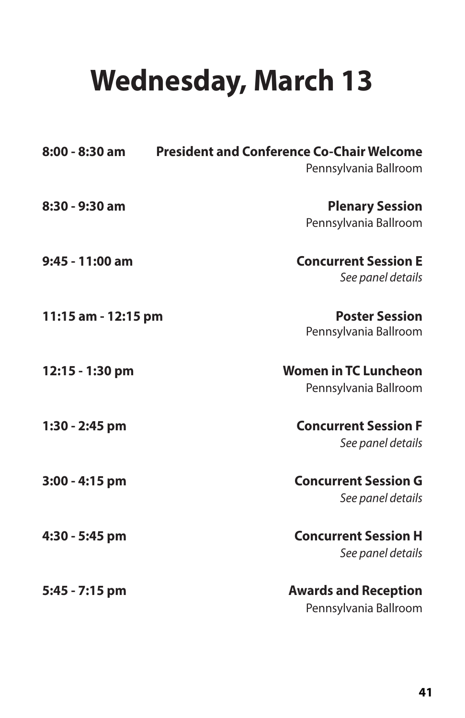## **Wednesday, March 13**

| 8:00 - 8:30 am      | <b>President and Conference Co-Chair Welcome</b><br>Pennsylvania Ballroom |
|---------------------|---------------------------------------------------------------------------|
| 8:30 - 9:30 am      | <b>Plenary Session</b><br>Pennsylvania Ballroom                           |
| 9:45 - 11:00 am     | <b>Concurrent Session E</b><br>See panel details                          |
| 11:15 am - 12:15 pm | <b>Poster Session</b><br>Pennsylvania Ballroom                            |
| 12:15 - 1:30 pm     | <b>Women in TC Luncheon</b><br>Pennsylvania Ballroom                      |
| 1:30 - 2:45 pm      | <b>Concurrent Session F</b><br>See panel details                          |
| 3:00 - 4:15 pm      | <b>Concurrent Session G</b><br>See panel details                          |
| 4:30 - 5:45 pm      | <b>Concurrent Session H</b><br>See panel details                          |
| 5:45 - 7:15 pm      | <b>Awards and Reception</b><br>Pennsylvania Ballroom                      |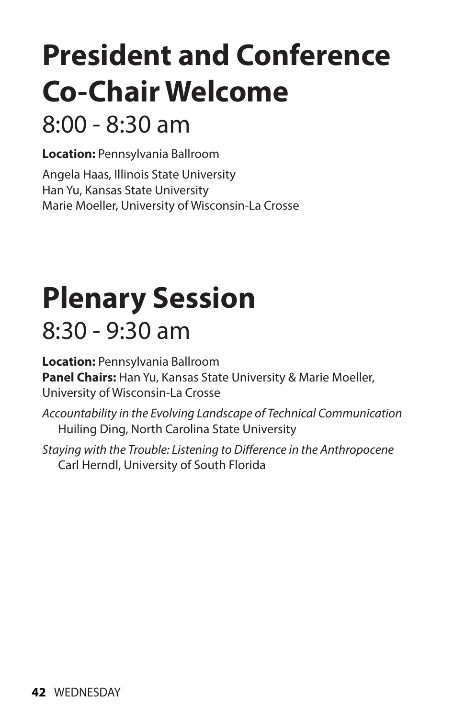# **President and Conference Co-Chair Welcome**

### 8:00 - 8:30 am

**Location:** Pennsylvania Ballroom

Angela Haas, Illinois State University Han Yu, Kansas State University Marie Moeller, University of Wisconsin-La Crosse

### **Plenary Session**   $8:30 - 9:30$  am

**Location:** Pennsylvania Ballroom **Panel Chairs:** Han Yu, Kansas State University & Marie Moeller, University of Wisconsin-La Crosse

*Accountability in the Evolving Landscape of Technical Communication* Huiling Ding, North Carolina State University

*Staying with the Trouble: Listening to Difference in the Anthropocene* Carl Herndl, University of South Florida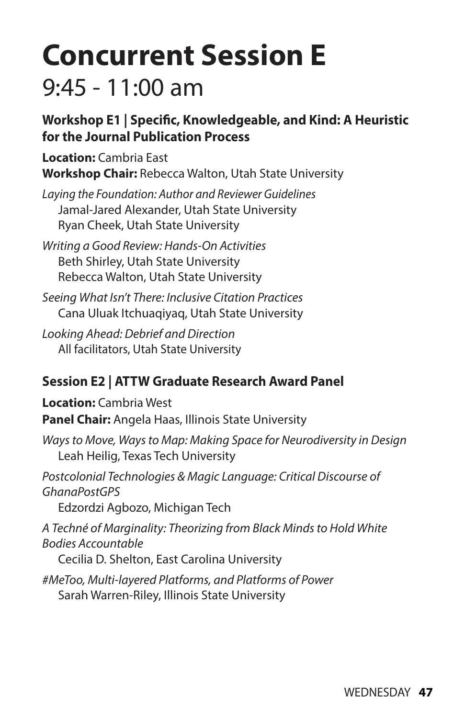### **Concurrent Session E**   $9:45 - 11:00$  am

#### **Workshop E1 | Specific, Knowledgeable, and Kind: A Heuristic for the Journal Publication Process**

**Location:** Cambria East **Workshop Chair:** Rebecca Walton, Utah State University

*Laying the Foundation: Author and Reviewer Guidelines*  Jamal-Jared Alexander, Utah State University Ryan Cheek, Utah State University

*Writing a Good Review: Hands-On Activities* Beth Shirley, Utah State University Rebecca Walton, Utah State University

*Seeing What Isn't There: Inclusive Citation Practices* Cana Uluak Itchuaqiyaq, Utah State University

*Looking Ahead: Debrief and Direction* All facilitators, Utah State University

#### **Session E2 | ATTW Graduate Research Award Panel**

**Location:** Cambria West

**Panel Chair:** Angela Haas, Illinois State University

*Ways to Move, Ways to Map: Making Space for Neurodiversity in Design* Leah Heilig, Texas Tech University

*Postcolonial Technologies & Magic Language: Critical Discourse of GhanaPostGPS*

Edzordzi Agbozo, Michigan Tech

*A Techné of Marginality: Theorizing from Black Minds to Hold White Bodies Accountable*

Cecilia D. Shelton, East Carolina University

*#MeToo, Multi-layered Platforms, and Platforms of Power*  Sarah Warren-Riley, Illinois State University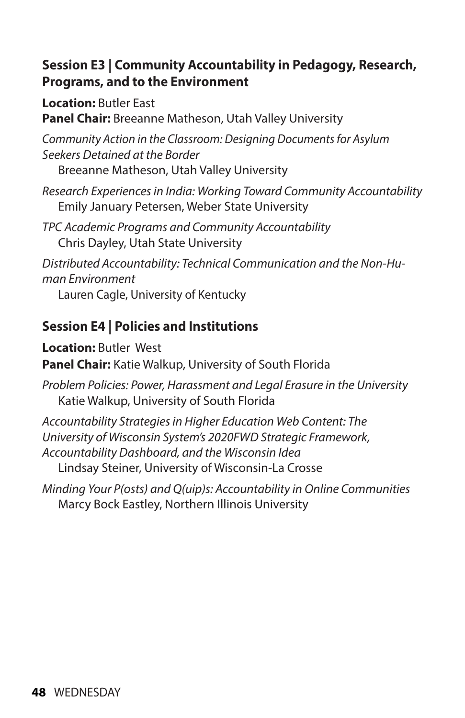#### **Session E3 | Community Accountability in Pedagogy, Research, Programs, and to the Environment**

**Location:** Butler East

**Panel Chair:** Breeanne Matheson, Utah Valley University

*Community Action in the Classroom: Designing Documents for Asylum Seekers Detained at the Border* 

Breeanne Matheson, Utah Valley University

*Research Experiences in India: Working Toward Community Accountability*  Emily January Petersen, Weber State University

*TPC Academic Programs and Community Accountability* Chris Dayley, Utah State University

*Distributed Accountability: Technical Communication and the Non-Human Environment* 

Lauren Cagle, University of Kentucky

#### **Session E4 | Policies and Institutions**

**Location:** Butler West

**Panel Chair:** Katie Walkup, University of South Florida

*Problem Policies: Power, Harassment and Legal Erasure in the University* Katie Walkup, University of South Florida

*Accountability Strategies in Higher Education Web Content: The University of Wisconsin System's 2020FWD Strategic Framework, Accountability Dashboard, and the Wisconsin Idea*

Lindsay Steiner, University of Wisconsin-La Crosse

*Minding Your P(osts) and Q(uip)s: Accountability in Online Communities* Marcy Bock Eastley, Northern Illinois University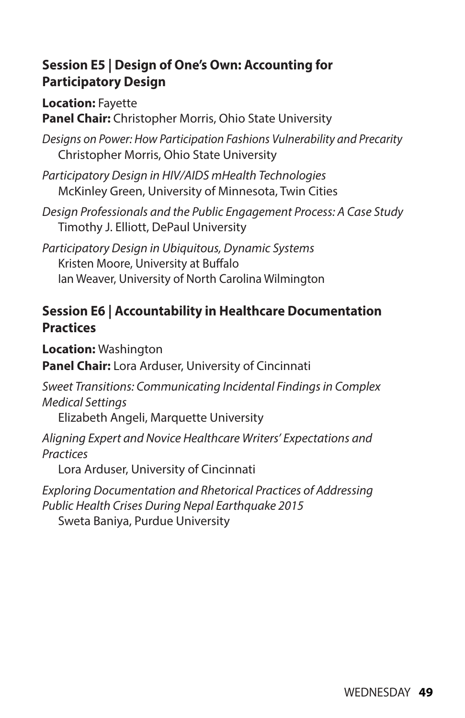#### **Session E5 | Design of One's Own: Accounting for Participatory Design**

**Location:** Fayette

**Panel Chair:** Christopher Morris, Ohio State University

*Designs on Power: How Participation Fashions Vulnerability and Precarity*  Christopher Morris, Ohio State University

*Participatory Design in HIV/AIDS mHealth Technologies*  McKinley Green, University of Minnesota, Twin Cities

*Design Professionals and the Public Engagement Process: A Case Study* Timothy J. Elliott, DePaul University

*Participatory Design in Ubiquitous, Dynamic Systems*  Kristen Moore, University at Buffalo Ian Weaver, University of North Carolina Wilmington

#### **Session E6 | Accountability in Healthcare Documentation Practices**

**Location:** Washington

**Panel Chair:** Lora Arduser, University of Cincinnati

*Sweet Transitions: Communicating Incidental Findings in Complex Medical Settings* 

Elizabeth Angeli, Marquette University

*Aligning Expert and Novice Healthcare Writers' Expectations and Practices* 

Lora Arduser, University of Cincinnati

*Exploring Documentation and Rhetorical Practices of Addressing Public Health Crises During Nepal Earthquake 2015*  Sweta Baniya, Purdue University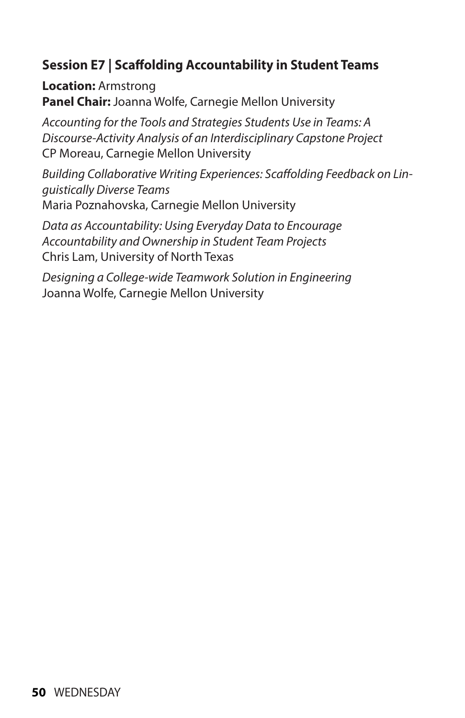#### **Session E7 | Scaffolding Accountability in Student Teams**

**Location:** Armstrong **Panel Chair:** Joanna Wolfe, Carnegie Mellon University

*Accounting for the Tools and Strategies Students Use in Teams: A Discourse-Activity Analysis of an Interdisciplinary Capstone Project*  CP Moreau, Carnegie Mellon University

*Building Collaborative Writing Experiences: Scaffolding Feedback on Linguistically Diverse Teams*  Maria Poznahovska, Carnegie Mellon University

*Data as Accountability: Using Everyday Data to Encourage Accountability and Ownership in Student Team Projects* Chris Lam, University of North Texas

*Designing a College-wide Teamwork Solution in Engineering* Joanna Wolfe, Carnegie Mellon University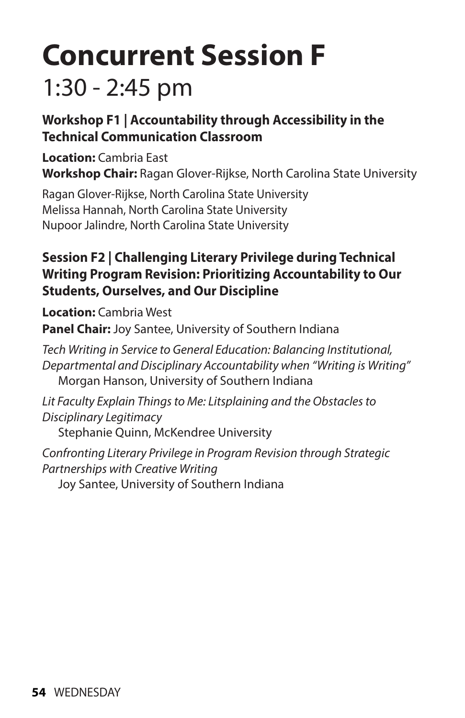### **Concurrent Session F**  1:30 - 2:45 pm

#### **Workshop F1 | Accountability through Accessibility in the Technical Communication Classroom**

**Location:** Cambria East **Workshop Chair:** Ragan Glover-Rijkse, North Carolina State University

Ragan Glover-Rijkse, North Carolina State University Melissa Hannah, North Carolina State University Nupoor Jalindre, North Carolina State University

#### **Session F2 | Challenging Literary Privilege during Technical Writing Program Revision: Prioritizing Accountability to Our Students, Ourselves, and Our Discipline**

**Location:** Cambria West **Panel Chair:** Joy Santee, University of Southern Indiana

*Tech Writing in Service to General Education: Balancing Institutional, Departmental and Disciplinary Accountability when "Writing is Writing"*  Morgan Hanson, University of Southern Indiana

*Lit Faculty Explain Things to Me: Litsplaining and the Obstacles to Disciplinary Legitimacy*  Stephanie Quinn, McKendree University

*Confronting Literary Privilege in Program Revision through Strategic Partnerships with Creative Writing*  Joy Santee, University of Southern Indiana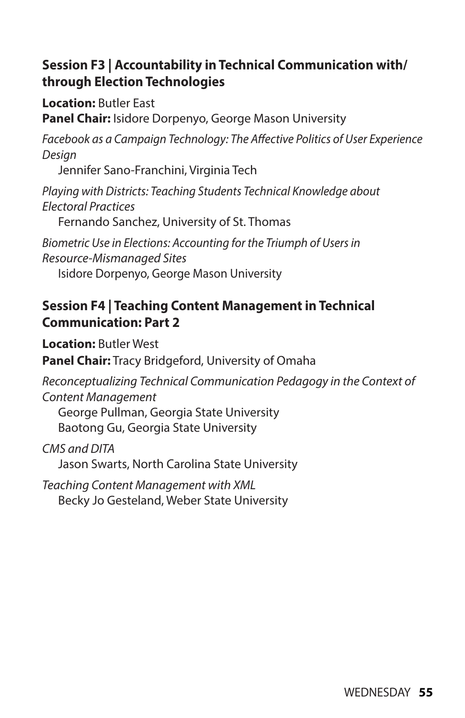#### **Session F3 | Accountability in Technical Communication with/ through Election Technologies**

**Location:** Butler East

**Panel Chair:** Isidore Dorpenyo, George Mason University

*Facebook as a Campaign Technology: The Affective Politics of User Experience Design* 

Jennifer Sano-Franchini, Virginia Tech

*Playing with Districts: Teaching Students Technical Knowledge about Electoral Practices* 

Fernando Sanchez, University of St. Thomas

*Biometric Use in Elections: Accounting for the Triumph of Users in Resource-Mismanaged Sites* 

Isidore Dorpenyo, George Mason University

#### **Session F4 | Teaching Content Management in Technical Communication: Part 2**

**Location:** Butler West **Panel Chair:** Tracy Bridgeford, University of Omaha

*Reconceptualizing Technical Communication Pedagogy in the Context of Content Management* 

George Pullman, Georgia State University Baotong Gu, Georgia State University

*CMS and DITA*  Jason Swarts, North Carolina State University

*Teaching Content Management with XML*  Becky Jo Gesteland, Weber State University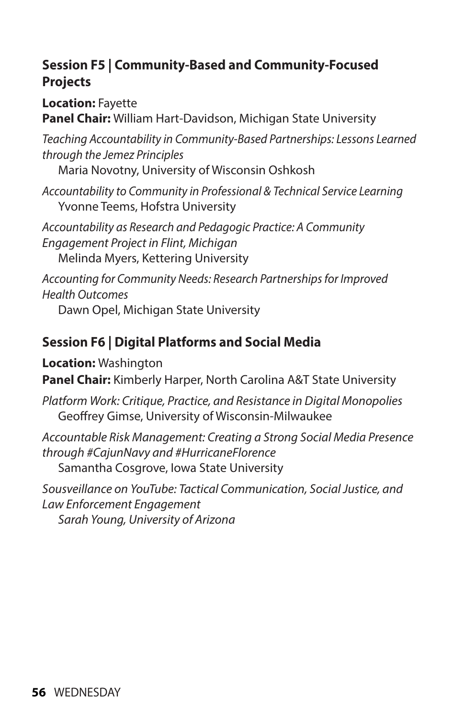#### **Session F5 | Community-Based and Community-Focused Projects**

**Location:** Fayette

**Panel Chair:** William Hart-Davidson, Michigan State University

*Teaching Accountability in Community-Based Partnerships: Lessons Learned through the Jemez Principles*

Maria Novotny, University of Wisconsin Oshkosh

*Accountability to Community in Professional & Technical Service Learning* Yvonne Teems, Hofstra University

*Accountability as Research and Pedagogic Practice: A Community Engagement Project in Flint, Michigan* Melinda Myers, Kettering University

*Accounting for Community Needs: Research Partnerships for Improved Health Outcomes*  Dawn Opel, Michigan State University

#### **Session F6 | Digital Platforms and Social Media**

**Location:** Washington

**Panel Chair:** Kimberly Harper, North Carolina A&T State University

*Platform Work: Critique, Practice, and Resistance in Digital Monopolies* Geoffrey Gimse, University of Wisconsin-Milwaukee

*Accountable Risk Management: Creating a Strong Social Media Presence through #CajunNavy and #HurricaneFlorence*

Samantha Cosgrove, Iowa State University

*Sousveillance on YouTube: Tactical Communication, Social Justice, and Law Enforcement Engagement* 

*Sarah Young, University of Arizona*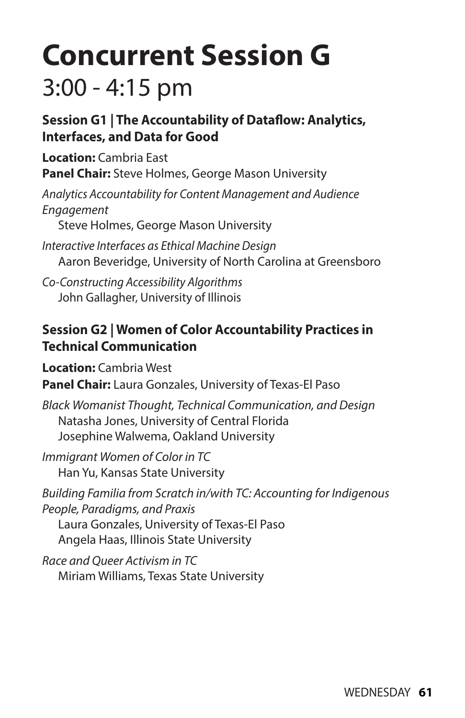### **Concurrent Session G**  3:00 - 4:15 pm

#### **Session G1 | The Accountability of Dataflow: Analytics, Interfaces, and Data for Good**

**Location:** Cambria East **Panel Chair:** Steve Holmes, George Mason University

*Analytics Accountability for Content Management and Audience Engagement* 

Steve Holmes, George Mason University

*Interactive Interfaces as Ethical Machine Design*  Aaron Beveridge, University of North Carolina at Greensboro

*Co-Constructing Accessibility Algorithms*  John Gallagher, University of Illinois

#### **Session G2 | Women of Color Accountability Practices in Technical Communication**

**Location:** Cambria West

**Panel Chair:** Laura Gonzales, University of Texas-El Paso

*Black Womanist Thought, Technical Communication, and Design*  Natasha Jones, University of Central Florida Josephine Walwema, Oakland University

*Immigrant Women of Color in TC*  Han Yu, Kansas State University

*Building Familia from Scratch in/with TC: Accounting for Indigenous People, Paradigms, and Praxis*  Laura Gonzales, University of Texas-El Paso Angela Haas, Illinois State University

*Race and Queer Activism in TC*  Miriam Williams, Texas State University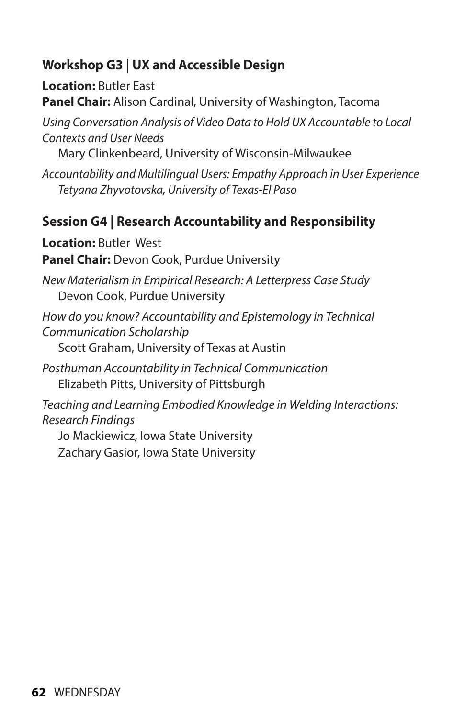#### **Workshop G3 | UX and Accessible Design**

**Location:** Butler East **Panel Chair:** Alison Cardinal, University of Washington, Tacoma

*Using Conversation Analysis of Video Data to Hold UX Accountable to Local Contexts and User Needs*

Mary Clinkenbeard, University of Wisconsin-Milwaukee

*Accountability and Multilingual Users: Empathy Approach in User Experience Tetyana Zhyvotovska, University of Texas-El Paso*

#### **Session G4 | Research Accountability and Responsibility**

**Location:** Butler West **Panel Chair:** Devon Cook, Purdue University

*New Materialism in Empirical Research: A Letterpress Case Study*  Devon Cook, Purdue University

*How do you know? Accountability and Epistemology in Technical Communication Scholarship* Scott Graham, University of Texas at Austin

*Posthuman Accountability in Technical Communication* Elizabeth Pitts, University of Pittsburgh

*Teaching and Learning Embodied Knowledge in Welding Interactions: Research Findings* 

Jo Mackiewicz, Iowa State University Zachary Gasior, Iowa State University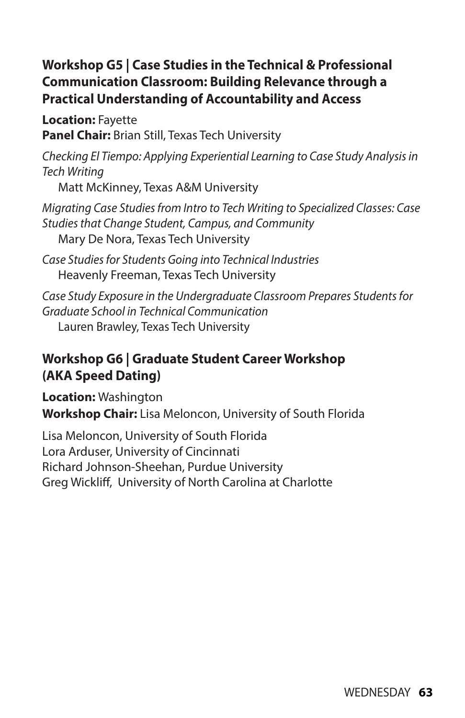#### **Workshop G5 | Case Studies in the Technical & Professional Communication Classroom: Building Relevance through a Practical Understanding of Accountability and Access**

**Location:** Fayette **Panel Chair:** Brian Still, Texas Tech University

*Checking El Tiempo: Applying Experiential Learning to Case Study Analysis in Tech Writing* 

Matt McKinney, Texas A&M University

*Migrating Case Studies from Intro to Tech Writing to Specialized Classes: Case Studies that Change Student, Campus, and Community* Mary De Nora, Texas Tech University

*Case Studies for Students Going into Technical Industries* Heavenly Freeman, Texas Tech University

*Case Study Exposure in the Undergraduate Classroom Prepares Students for Graduate School in Technical Communication* Lauren Brawley, Texas Tech University

#### **Workshop G6 | Graduate Student Career Workshop (AKA Speed Dating)**

**Location:** Washington **Workshop Chair:** Lisa Meloncon, University of South Florida

Lisa Meloncon, University of South Florida Lora Arduser, University of Cincinnati Richard Johnson-Sheehan, Purdue University Greg Wickliff, University of North Carolina at Charlotte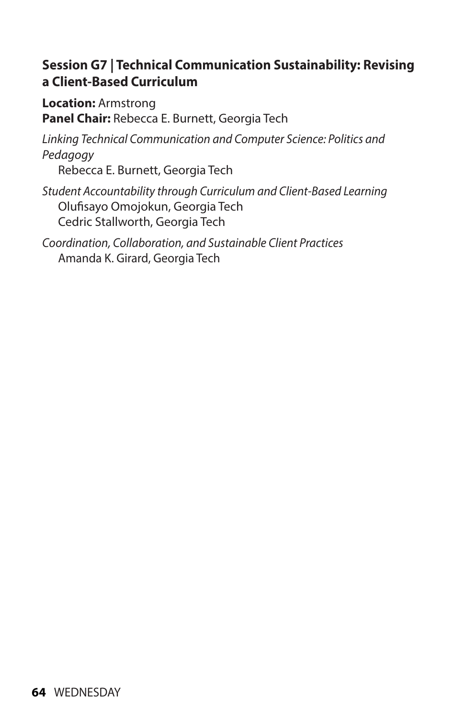#### **Session G7 | Technical Communication Sustainability: Revising a Client-Based Curriculum**

**Location:** Armstrong **Panel Chair:** Rebecca E. Burnett, Georgia Tech

*Linking Technical Communication and Computer Science: Politics and Pedagogy* 

Rebecca E. Burnett, Georgia Tech

*Student Accountability through Curriculum and Client-Based Learning*  Olufisayo Omojokun, Georgia Tech Cedric Stallworth, Georgia Tech

*Coordination, Collaboration, and Sustainable Client Practices*  Amanda K. Girard, Georgia Tech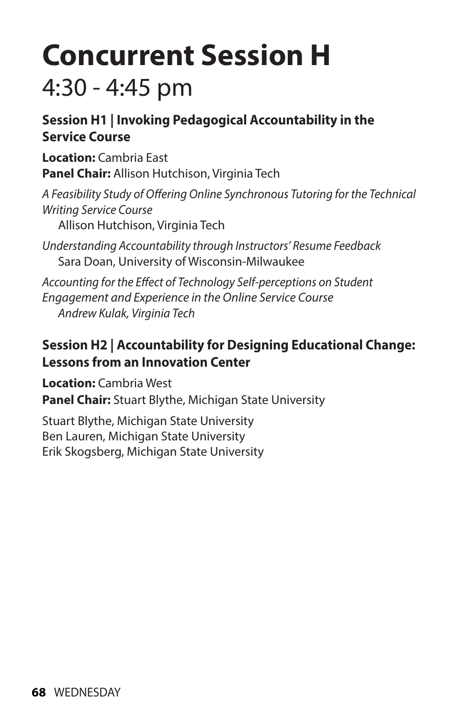### **Concurrent Session H**  4:30 - 4:45 pm

#### **Session H1 | Invoking Pedagogical Accountability in the Service Course**

**Location:** Cambria East **Panel Chair:** Allison Hutchison, Virginia Tech

*A Feasibility Study of Offering Online Synchronous Tutoring for the Technical Writing Service Course* 

Allison Hutchison, Virginia Tech

*Understanding Accountability through Instructors' Resume Feedback* Sara Doan, University of Wisconsin-Milwaukee

*Accounting for the Effect of Technology Self-perceptions on Student Engagement and Experience in the Online Service Course Andrew Kulak, Virginia Tech*

#### **Session H2 | Accountability for Designing Educational Change: Lessons from an Innovation Center**

**Location:** Cambria West

**Panel Chair:** Stuart Blythe, Michigan State University

Stuart Blythe, Michigan State University Ben Lauren, Michigan State University Erik Skogsberg, Michigan State University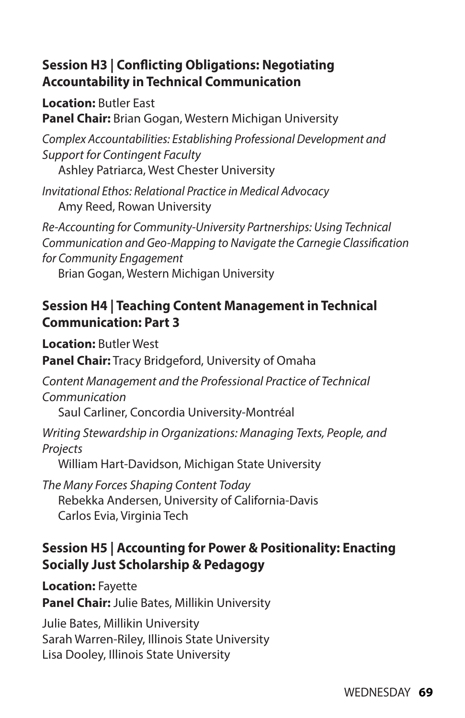#### **Session H3 | Conflicting Obligations: Negotiating Accountability in Technical Communication**

**Location:** Butler East **Panel Chair:** Brian Gogan, Western Michigan University

*Complex Accountabilities: Establishing Professional Development and Support for Contingent Faculty* Ashley Patriarca, West Chester University

*Invitational Ethos: Relational Practice in Medical Advocacy*  Amy Reed, Rowan University

*Re-Accounting for Community-University Partnerships: Using Technical Communication and Geo-Mapping to Navigate the Carnegie Classification for Community Engagement* 

Brian Gogan, Western Michigan University

#### **Session H4 | Teaching Content Management in Technical Communication: Part 3**

**Location:** Butler West **Panel Chair:** Tracy Bridgeford, University of Omaha

*Content Management and the Professional Practice of Technical Communication*

Saul Carliner, Concordia University-Montréal

*Writing Stewardship in Organizations: Managing Texts, People, and Projects* 

William Hart-Davidson, Michigan State University

*The Many Forces Shaping Content Today*  Rebekka Andersen, University of California-Davis Carlos Evia, Virginia Tech

#### **Session H5 | Accounting for Power & Positionality: Enacting Socially Just Scholarship & Pedagogy**

**Location:** Fayette **Panel Chair:** Julie Bates, Millikin University

Julie Bates, Millikin University Sarah Warren-Riley, Illinois State University Lisa Dooley, Illinois State University